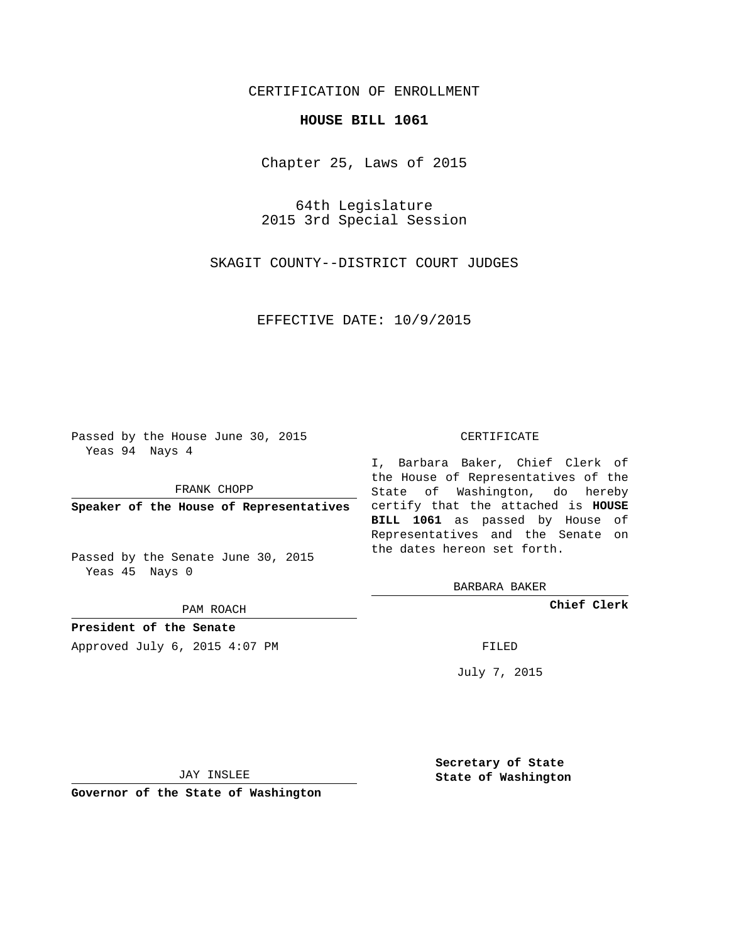## CERTIFICATION OF ENROLLMENT

## **HOUSE BILL 1061**

Chapter 25, Laws of 2015

64th Legislature 2015 3rd Special Session

SKAGIT COUNTY--DISTRICT COURT JUDGES

EFFECTIVE DATE: 10/9/2015

Passed by the House June 30, 2015 Yeas 94 Nays 4

FRANK CHOPP

Passed by the Senate June 30, 2015 Yeas 45 Nays 0

PAM ROACH

**President of the Senate**

Approved July 6, 2015 4:07 PM FILED

## CERTIFICATE

**Speaker of the House of Representatives** certify that the attached is **HOUSE** I, Barbara Baker, Chief Clerk of the House of Representatives of the State of Washington, do hereby **BILL 1061** as passed by House of Representatives and the Senate on the dates hereon set forth.

BARBARA BAKER

**Chief Clerk**

July 7, 2015

JAY INSLEE

**Governor of the State of Washington**

**Secretary of State State of Washington**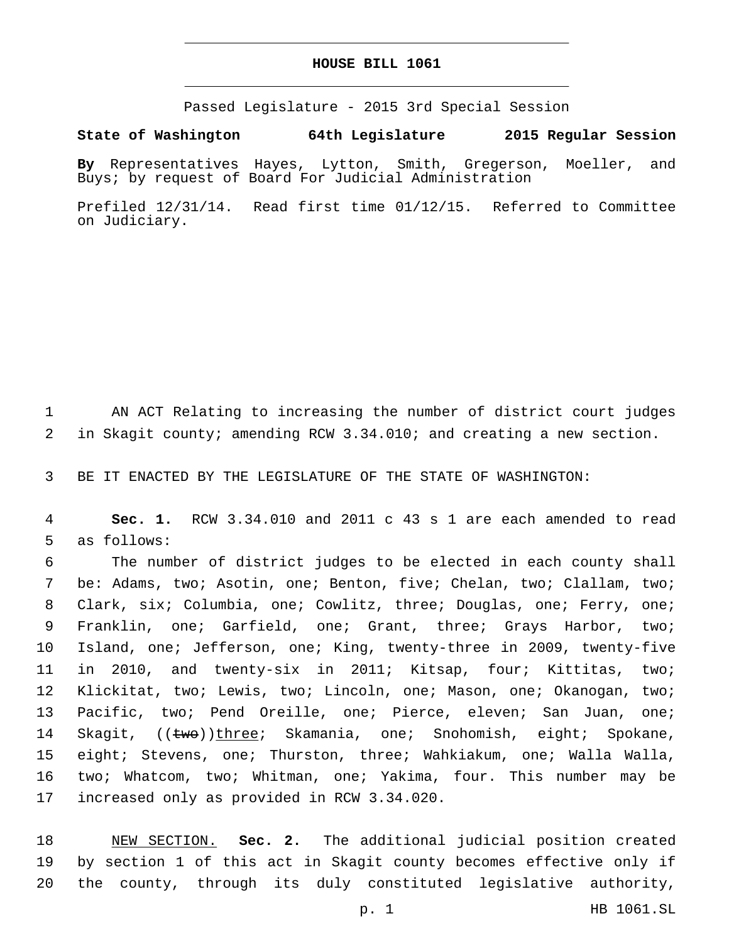## **HOUSE BILL 1061**

Passed Legislature - 2015 3rd Special Session

**State of Washington 64th Legislature 2015 Regular Session**

**By** Representatives Hayes, Lytton, Smith, Gregerson, Moeller, and Buys; by request of Board For Judicial Administration

Prefiled 12/31/14. Read first time 01/12/15. Referred to Committee on Judiciary.

1 AN ACT Relating to increasing the number of district court judges 2 in Skagit county; amending RCW 3.34.010; and creating a new section.

3 BE IT ENACTED BY THE LEGISLATURE OF THE STATE OF WASHINGTON:

4 **Sec. 1.** RCW 3.34.010 and 2011 c 43 s 1 are each amended to read 5 as follows:

 The number of district judges to be elected in each county shall 7 be: Adams, two; Asotin, one; Benton, five; Chelan, two; Clallam, two; Clark, six; Columbia, one; Cowlitz, three; Douglas, one; Ferry, one; Franklin, one; Garfield, one; Grant, three; Grays Harbor, two; Island, one; Jefferson, one; King, twenty-three in 2009, twenty-five in 2010, and twenty-six in 2011; Kitsap, four; Kittitas, two; Klickitat, two; Lewis, two; Lincoln, one; Mason, one; Okanogan, two; Pacific, two; Pend Oreille, one; Pierce, eleven; San Juan, one; 14 Skagit,  $((\text{two}))$ three; Skamania, one; Snohomish, eight; Spokane, eight; Stevens, one; Thurston, three; Wahkiakum, one; Walla Walla, two; Whatcom, two; Whitman, one; Yakima, four. This number may be 17 increased only as provided in RCW 3.34.020.

18 NEW SECTION. **Sec. 2.** The additional judicial position created 19 by section 1 of this act in Skagit county becomes effective only if 20 the county, through its duly constituted legislative authority,

p. 1 HB 1061.SL